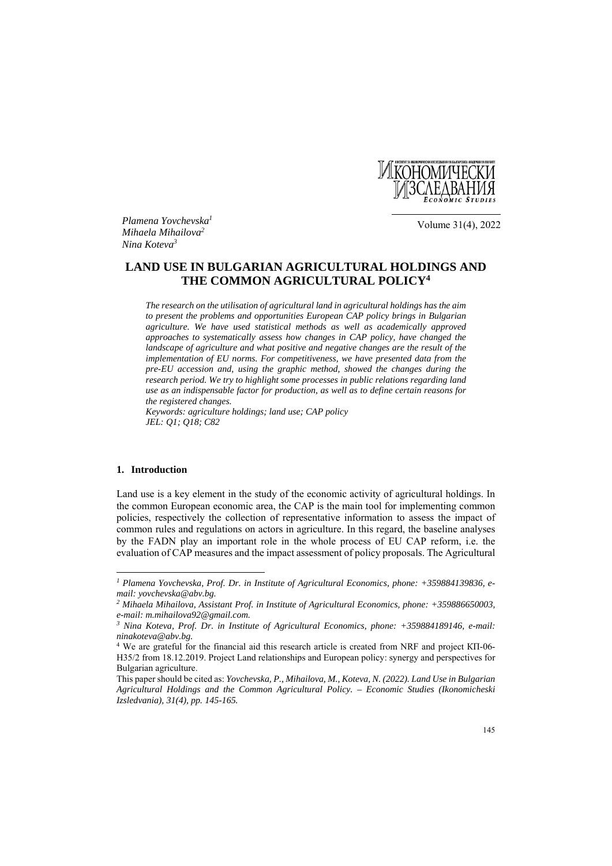

*Plamena Yovchevska1 Mihaela Mihailova2 Nina Koteva3*

Volume 31(4), 2022

# **LAND USE IN BULGARIAN AGRICULTURAL HOLDINGS AND THE COMMON AGRICULTURAL POLICY4**

*The research on the utilisation of agricultural land in agricultural holdings has the aim to present the problems and opportunities European CAP policy brings in Bulgarian agriculture. We have used statistical methods as well as academically approved approaches to systematically assess how changes in CAP policy, have changed the landscape of agriculture and what positive and negative changes are the result of the implementation of EU norms. For competitiveness, we have presented data from the pre-EU accession and, using the graphic method, showed the changes during the research period. We try to highlight some processes in public relations regarding land use as an indispensable factor for production, as well as to define certain reasons for the registered changes.* 

*Keywords: agriculture holdings; land use; CAP policy JEL: Q1; Q18; C82* 

#### **1. Introduction**

 $\overline{a}$ 

Land use is a key element in the study of the economic activity of agricultural holdings. In the common European economic area, the CAP is the main tool for implementing common policies, respectively the collection of representative information to assess the impact of common rules and regulations on actors in agriculture. In this regard, the baseline analyses by the FADN play an important role in the whole process of EU CAP reform, i.e. the evaluation of CAP measures and the impact assessment of policy proposals. The Agricultural

*<sup>1</sup> Plamena Yovchevska, Prof. Dr. in Institute of Agricultural Economics, phone: +359884139836, email: yovchevska@abv.bg.* 

*<sup>2</sup> Mihaela Mihailova, Assistant Prof. in Institute of Agricultural Economics, phone: +359886650003, e-mail: m.mihailova92@gmail.com.* 

*<sup>3</sup> Nina Koteva, Prof. Dr. in Institute of Agricultural Economics, phone: +359884189146, e-mail: ninakoteva@abv.bg.* 

<sup>4</sup> We are grateful for the financial aid this research article is created from NRF and project КП-06- Н35/2 from 18.12.2019. Project Land relationships and European policy: synergy and perspectives for Bulgarian agriculture.

This paper should be cited as: *Yovchevska, P., Mihailova, M., Koteva, N. (2022). Land Use in Bulgarian Agricultural Holdings and the Common Agricultural Policy. – Economic Studies (Ikonomicheski Izsledvania), 31(4), pp. 145-165.*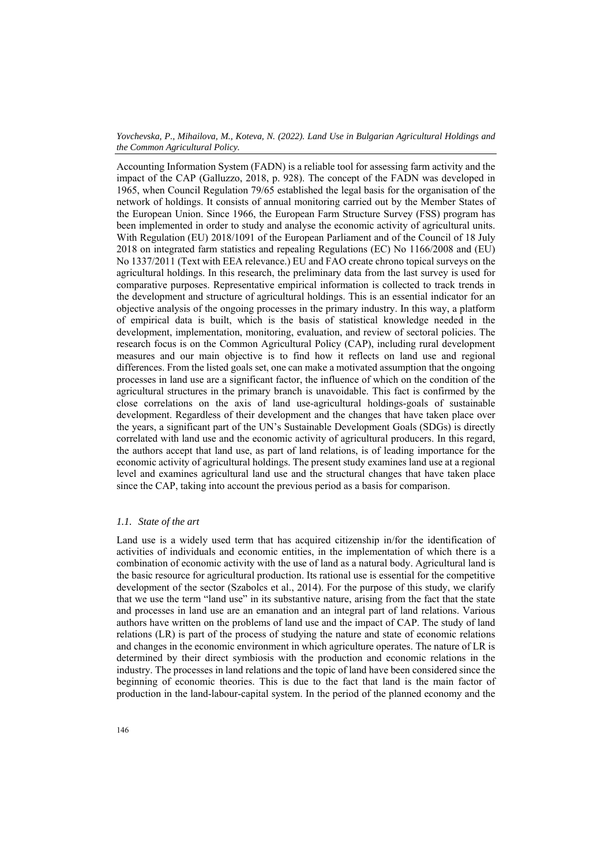Accounting Information System (FADN) is a reliable tool for assessing farm activity and the impact of the CAP (Galluzzo, 2018, p. 928). The concept of the FADN was developed in 1965, when Council Regulation 79/65 established the legal basis for the organisation of the network of holdings. It consists of annual monitoring carried out by the Member States of the European Union. Since 1966, the European Farm Structure Survey (FSS) program has been implemented in order to study and analyse the economic activity of agricultural units. With Regulation (EU) 2018/1091 of the European Parliament and of the Council of 18 July 2018 on integrated farm statistics and repealing Regulations (EC) No 1166/2008 and (EU) No 1337/2011 (Text with EEA relevance.) EU and FAO create chrono topical surveys on the agricultural holdings. In this research, the preliminary data from the last survey is used for comparative purposes. Representative empirical information is collected to track trends in the development and structure of agricultural holdings. This is an essential indicator for an objective analysis of the ongoing processes in the primary industry. In this way, a platform of empirical data is built, which is the basis of statistical knowledge needed in the development, implementation, monitoring, evaluation, and review of sectoral policies. The research focus is on the Common Agricultural Policy (CAP), including rural development measures and our main objective is to find how it reflects on land use and regional differences. From the listed goals set, one can make a motivated assumption that the ongoing processes in land use are a significant factor, the influence of which on the condition of the agricultural structures in the primary branch is unavoidable. This fact is confirmed by the close correlations on the axis of land use-agricultural holdings-goals of sustainable development. Regardless of their development and the changes that have taken place over the years, a significant part of the UN's Sustainable Development Goals (SDGs) is directly correlated with land use and the economic activity of agricultural producers. In this regard, the authors accept that land use, as part of land relations, is of leading importance for the economic activity of agricultural holdings. The present study examines land use at a regional level and examines agricultural land use and the structural changes that have taken place since the CAP, taking into account the previous period as a basis for comparison.

# *1.1. State of the art*

Land use is a widely used term that has acquired citizenship in/for the identification of activities of individuals and economic entities, in the implementation of which there is a combination of economic activity with the use of land as a natural body. Agricultural land is the basic resource for agricultural production. Its rational use is essential for the competitive development of the sector (Szabolcs et al., 2014). For the purpose of this study, we clarify that we use the term "land use" in its substantive nature, arising from the fact that the state and processes in land use are an emanation and an integral part of land relations. Various authors have written on the problems of land use and the impact of CAP. The study of land relations (LR) is part of the process of studying the nature and state of economic relations and changes in the economic environment in which agriculture operates. The nature of LR is determined by their direct symbiosis with the production and economic relations in the industry. The processes in land relations and the topic of land have been considered since the beginning of economic theories. This is due to the fact that land is the main factor of production in the land-labour-capital system. In the period of the planned economy and the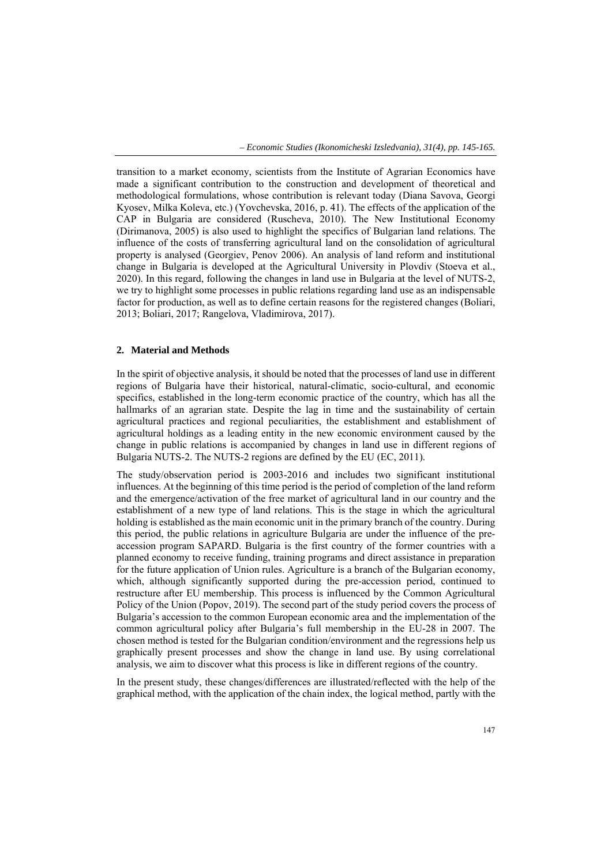transition to a market economy, scientists from the Institute of Agrarian Economics have made a significant contribution to the construction and development of theoretical and methodological formulations, whose contribution is relevant today (Diana Savova, Georgi Kyosev, Milka Koleva, etc.) (Yovchevska, 2016, p. 41). The effects of the application of the CAP in Bulgaria are considered (Ruscheva, 2010). The New Institutional Economy (Dirimanova, 2005) is also used to highlight the specifics of Bulgarian land relations. The influence of the costs of transferring agricultural land on the consolidation of agricultural property is analysed (Georgiev, Penov 2006). An analysis of land reform and institutional change in Bulgaria is developed at the Agricultural University in Plovdiv (Stoeva et al., 2020). In this regard, following the changes in land use in Bulgaria at the level of NUTS-2, we try to highlight some processes in public relations regarding land use as an indispensable factor for production, as well as to define certain reasons for the registered changes (Boliari, 2013; Boliari, 2017; Rangelova, Vladimirova, 2017).

# **2. Material and Methods**

In the spirit of objective analysis, it should be noted that the processes of land use in different regions of Bulgaria have their historical, natural-climatic, socio-cultural, and economic specifics, established in the long-term economic practice of the country, which has all the hallmarks of an agrarian state. Despite the lag in time and the sustainability of certain agricultural practices and regional peculiarities, the establishment and establishment of agricultural holdings as a leading entity in the new economic environment caused by the change in public relations is accompanied by changes in land use in different regions of Bulgaria NUTS-2. The NUTS-2 regions are defined by the EU (EC, 2011).

The study/observation period is 2003-2016 and includes two significant institutional influences. At the beginning of this time period is the period of completion of the land reform and the emergence/activation of the free market of agricultural land in our country and the establishment of a new type of land relations. This is the stage in which the agricultural holding is established as the main economic unit in the primary branch of the country. During this period, the public relations in agriculture Bulgaria are under the influence of the preaccession program SAPARD. Bulgaria is the first country of the former countries with a planned economy to receive funding, training programs and direct assistance in preparation for the future application of Union rules. Agriculture is a branch of the Bulgarian economy, which, although significantly supported during the pre-accession period, continued to restructure after EU membership. This process is influenced by the Common Agricultural Policy of the Union (Popov, 2019). The second part of the study period covers the process of Bulgaria's accession to the common European economic area and the implementation of the common agricultural policy after Bulgaria's full membership in the EU-28 in 2007. The chosen method is tested for the Bulgarian condition/environment and the regressions help us graphically present processes and show the change in land use. By using correlational analysis, we aim to discover what this process is like in different regions of the country.

In the present study, these changes/differences are illustrated/reflected with the help of the graphical method, with the application of the chain index, the logical method, partly with the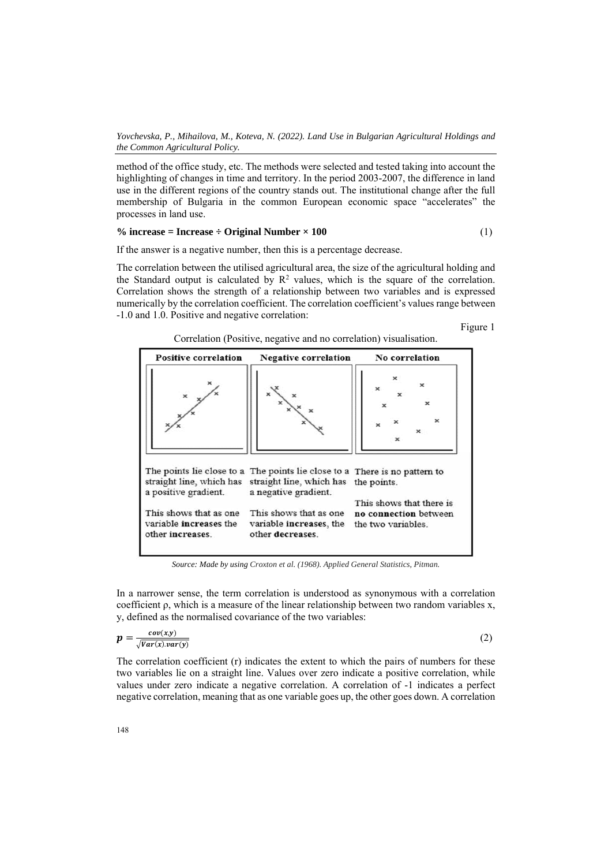method of the office study, etc. The methods were selected and tested taking into account the highlighting of changes in time and territory. In the period 2003-2007, the difference in land use in the different regions of the country stands out. The institutional change after the full membership of Bulgaria in the common European economic space "accelerates" the processes in land use.

$$
\% increase = Increase \div Original Number \times 100 \tag{1}
$$

If the answer is a negative number, then this is a percentage decrease.

The correlation between the utilised agricultural area, the size of the agricultural holding and the Standard output is calculated by  $\mathbb{R}^2$  values, which is the square of the correlation. Correlation shows the strength of a relationship between two variables and is expressed numerically by the correlation coefficient. The correlation coefficient's values range between -1.0 and 1.0. Positive and negative correlation:

Figure 1

|  |  | Correlation (Positive, negative and no correlation) visualisation. |
|--|--|--------------------------------------------------------------------|
|  |  |                                                                    |



*Source: Made by using Croxton et al. (1968). Applied General Statistics, Pitman.*

In a narrower sense, the term correlation is understood as synonymous with a correlation coefficient ρ, which is a measure of the linear relationship between two random variables x, y, defined as the normalised covariance of the two variables:

$$
p = \frac{cov(x,y)}{\sqrt{Var(x).var(y)}}
$$
(2)

The correlation coefficient  $(r)$  indicates the extent to which the pairs of numbers for these two variables lie on a straight line. Values over zero indicate a positive correlation, while values under zero indicate a negative correlation. A correlation of -1 indicates a perfect negative correlation, meaning that as one variable goes up, the other goes down. A correlation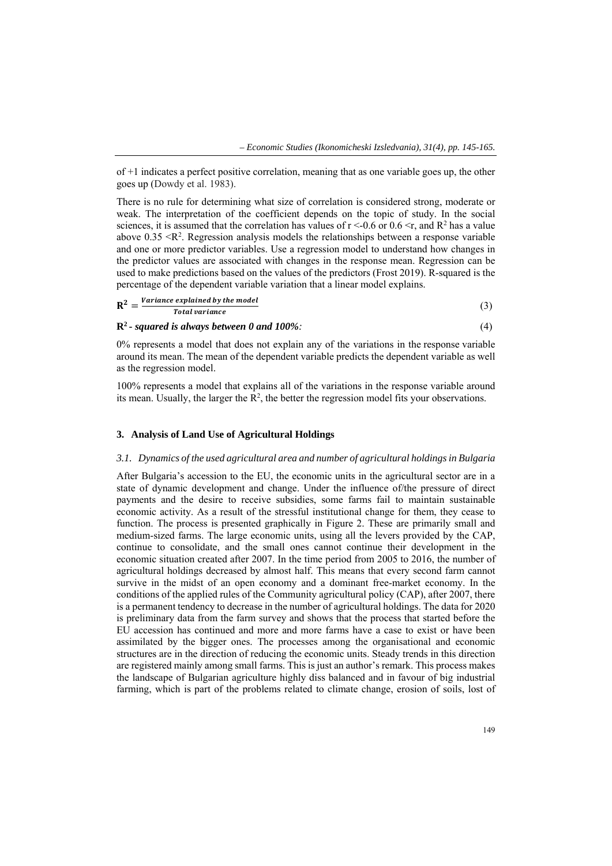of +1 indicates a perfect positive correlation, meaning that as one variable goes up, the other goes up (Dowdy et al. 1983).

There is no rule for determining what size of correlation is considered strong, moderate or weak. The interpretation of the coefficient depends on the topic of study. In the social sciences, it is assumed that the correlation has values of  $r < 0.6$  or 0.6  $\leq r$ , and  $R^2$  has a value above  $0.35 \le R^2$ . Regression analysis models the relationships between a response variable and one or more predictor variables. Use a regression model to understand how changes in the predictor values are associated with changes in the response mean. Regression can be used to make predictions based on the values of the predictors (Frost 2019). R-squared is the percentage of the dependent variable variation that a linear model explains.

| $R^2$ | Variance explained by the model |  |
|-------|---------------------------------|--|
|       | Total variance                  |  |

**R2 -** *squared is always between 0 and 100%:* (4)

0% represents a model that does not explain any of the variations in the response variable around its mean. The mean of the dependent variable predicts the dependent variable as well as the regression model.

100% represents a model that explains all of the variations in the response variable around its mean. Usually, the larger the  $R^2$ , the better the regression model fits your observations.

# **3. Analysis of Land Use of Agricultural Holdings**

### *3.1. Dynamics of the used agricultural area and number of agricultural holdings in Bulgaria*

After Bulgaria's accession to the EU, the economic units in the agricultural sector are in a state of dynamic development and change. Under the influence of/the pressure of direct payments and the desire to receive subsidies, some farms fail to maintain sustainable economic activity. As a result of the stressful institutional change for them, they cease to function. The process is presented graphically in Figure 2. These are primarily small and medium-sized farms. The large economic units, using all the levers provided by the CAP, continue to consolidate, and the small ones cannot continue their development in the economic situation created after 2007. In the time period from 2005 to 2016, the number of agricultural holdings decreased by almost half. This means that every second farm cannot survive in the midst of an open economy and a dominant free-market economy. In the conditions of the applied rules of the Community agricultural policy (CAP), after 2007, there is a permanent tendency to decrease in the number of agricultural holdings. The data for 2020 is preliminary data from the farm survey and shows that the process that started before the EU accession has continued and more and more farms have a case to exist or have been assimilated by the bigger ones. The processes among the organisational and economic structures are in the direction of reducing the economic units. Steady trends in this direction are registered mainly among small farms. This is just an author's remark. This process makes the landscape of Bulgarian agriculture highly diss balanced and in favour of big industrial farming, which is part of the problems related to climate change, erosion of soils, lost of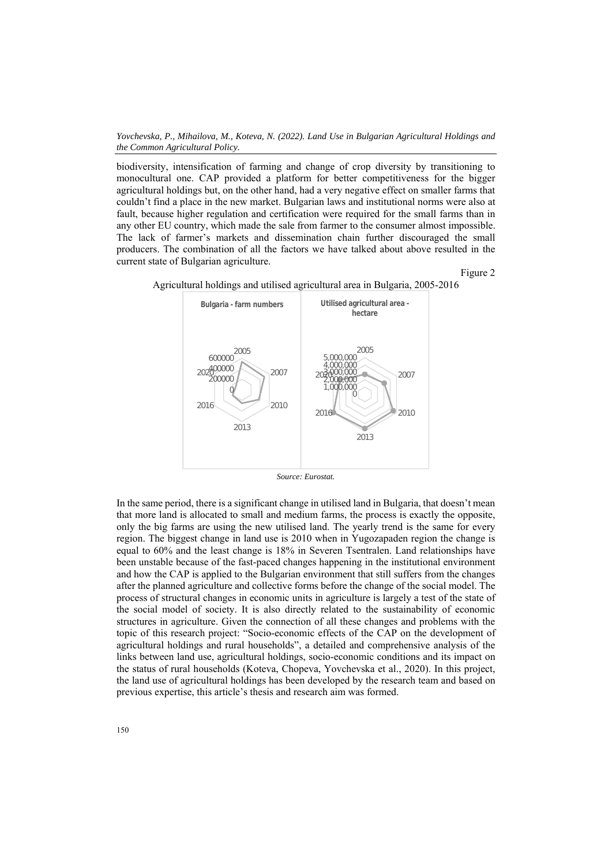*Yovchevska, P., Mihailova, M., Koteva, N. (2022). Land Use in Bulgarian Agricultural Holdings and the Common Agricultural Policy.* 

biodiversity, intensification of farming and change of crop diversity by transitioning to monocultural one. CAP provided a platform for better competitiveness for the bigger agricultural holdings but, on the other hand, had a very negative effect on smaller farms that couldn't find a place in the new market. Bulgarian laws and institutional norms were also at fault, because higher regulation and certification were required for the small farms than in any other EU country, which made the sale from farmer to the consumer almost impossible. The lack of farmer's markets and dissemination chain further discouraged the small producers. The combination of all the factors we have talked about above resulted in the current state of Bulgarian agriculture.

Figure 2



Agricultural holdings and utilised agricultural area in Bulgaria, 2005-2016

*Source: Eurostat.* 

In the same period, there is a significant change in utilised land in Bulgaria, that doesn't mean that more land is allocated to small and medium farms, the process is exactly the opposite, only the big farms are using the new utilised land. The yearly trend is the same for every region. The biggest change in land use is 2010 when in Yugozapaden region the change is equal to 60% and the least change is 18% in Severen Tsentralen. Land relationships have been unstable because of the fast-paced changes happening in the institutional environment and how the CAP is applied to the Bulgarian environment that still suffers from the changes after the planned agriculture and collective forms before the change of the social model. The process of structural changes in economic units in agriculture is largely a test of the state of the social model of society. It is also directly related to the sustainability of economic structures in agriculture. Given the connection of all these changes and problems with the topic of this research project: "Socio-economic effects of the CAP on the development of agricultural holdings and rural households", a detailed and comprehensive analysis of the links between land use, agricultural holdings, socio-economic conditions and its impact on the status of rural households (Koteva, Chopeva, Yovchevska et al., 2020). In this project, the land use of agricultural holdings has been developed by the research team and based on previous expertise, this article's thesis and research aim was formed.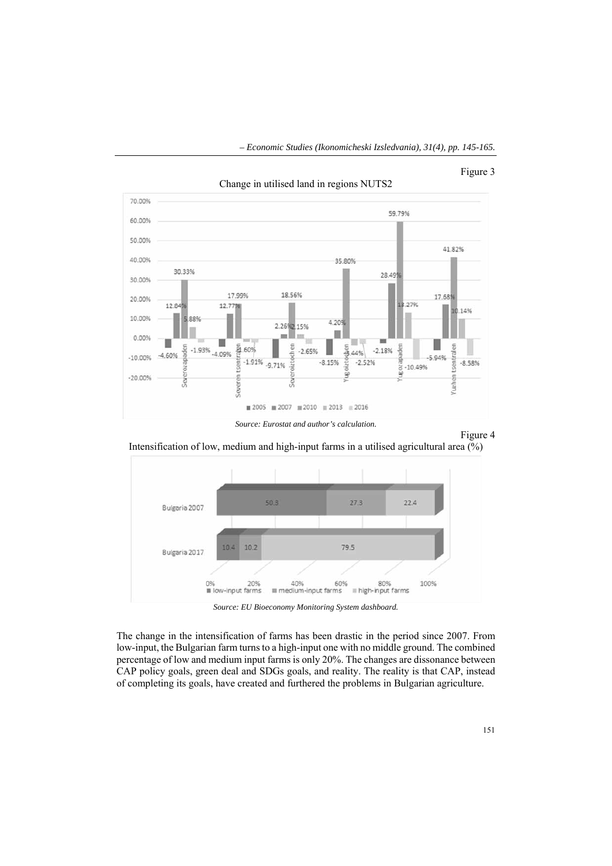# Figure 3





#### Figure 4

Intensification of low, medium and high-input farms in a utilised agricultural area (%)



*Source: EU Bioeconomy Monitoring System dashboard.* 

The change in the intensification of farms has been drastic in the period since 2007. From low-input, the Bulgarian farm turns to a high-input one with no middle ground. The combined percentage of low and medium input farms is only 20%. The changes are dissonance between CAP policy goals, green deal and SDGs goals, and reality. The reality is that CAP, instead of completing its goals, have created and furthered the problems in Bulgarian agriculture.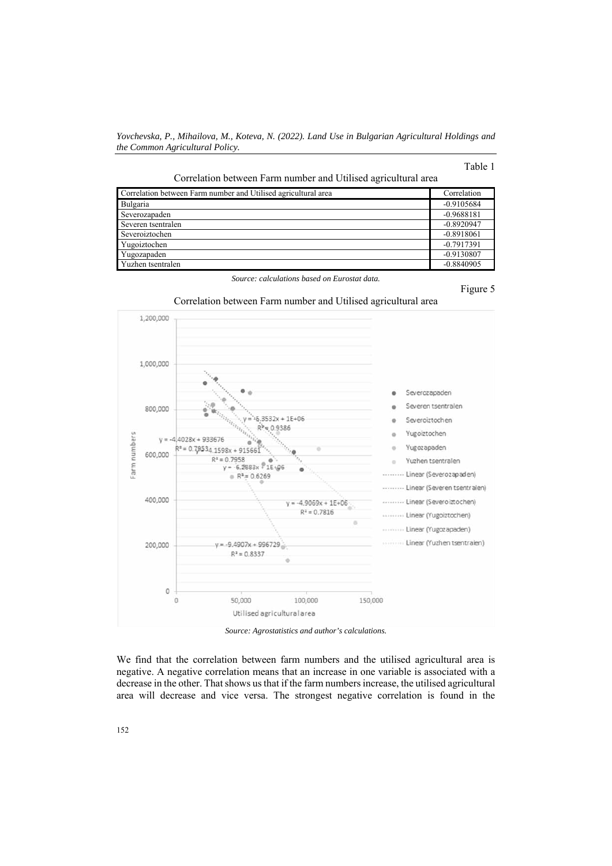# Table 1

| Correlation between Farm number and Utilised agricultural area |  |  |  |
|----------------------------------------------------------------|--|--|--|
|                                                                |  |  |  |

| Correlation between Farm number and Utilised agricultural area | Correlation  |
|----------------------------------------------------------------|--------------|
| Bulgaria                                                       | $-0.9105684$ |
| Severozapaden                                                  | $-0.9688181$ |
| Severen tsentralen                                             | $-0.8920947$ |
| Severoiztochen                                                 | $-0.8918061$ |
| Yugoiztochen                                                   | $-0.7917391$ |
| Yugozapaden                                                    | $-0.9130807$ |
| Yuzhen tsentralen                                              | $-0.8840905$ |

*Source: calculations based on Eurostat data.* 

Figure 5



Correlation between Farm number and Utilised agricultural area

*Source: Agrostatistics and author's calculations.* 

We find that the correlation between farm numbers and the utilised agricultural area is negative. A negative correlation means that an increase in one variable is associated with a decrease in the other. That shows us that if the farm numbers increase, the utilised agricultural area will decrease and vice versa. The strongest negative correlation is found in the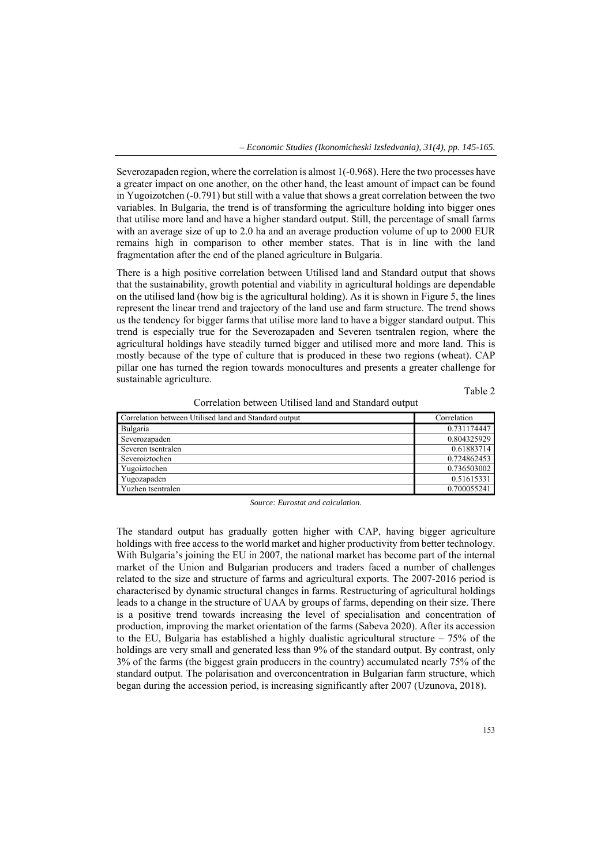Severozapaden region, where the correlation is almost 1(-0.968). Here the two processes have a greater impact on one another, on the other hand, the least amount of impact can be found in Yugoizotchen (-0.791) but still with a value that shows a great correlation between the two variables. In Bulgaria, the trend is of transforming the agriculture holding into bigger ones that utilise more land and have a higher standard output. Still, the percentage of small farms with an average size of up to 2.0 ha and an average production volume of up to 2000 EUR remains high in comparison to other member states. That is in line with the land fragmentation after the end of the planed agriculture in Bulgaria.

There is a high positive correlation between Utilised land and Standard output that shows that the sustainability, growth potential and viability in agricultural holdings are dependable on the utilised land (how big is the agricultural holding). As it is shown in Figure 5, the lines represent the linear trend and trajectory of the land use and farm structure. The trend shows us the tendency for bigger farms that utilise more land to have a bigger standard output. This trend is especially true for the Severozapaden and Severen tsentralen region, where the agricultural holdings have steadily turned bigger and utilised more and more land. This is mostly because of the type of culture that is produced in these two regions (wheat). CAP pillar one has turned the region towards monocultures and presents a greater challenge for sustainable agriculture.

Table 2

| Correlation between Utilised land and Standard output | Correlation |
|-------------------------------------------------------|-------------|
| Bulgaria                                              | 0.731174447 |
| Severozapaden                                         | 0.804325929 |
| Severen tsentralen                                    | 0.61883714  |
| Severoiztochen                                        | 0.724862453 |
| Yugoiztochen                                          | 0.736503002 |
| Yugozapaden                                           | 0.51615331  |
| Yuzhen tsentralen                                     | 0.700055241 |

*Source: Eurostat and calculation.* 

The standard output has gradually gotten higher with CAP, having bigger agriculture holdings with free access to the world market and higher productivity from better technology. With Bulgaria's joining the EU in 2007, the national market has become part of the internal market of the Union and Bulgarian producers and traders faced a number of challenges related to the size and structure of farms and agricultural exports. The 2007-2016 period is characterised by dynamic structural changes in farms. Restructuring of agricultural holdings leads to a change in the structure of UAA by groups of farms, depending on their size. There is a positive trend towards increasing the level of specialisation and concentration of production, improving the market orientation of the farms (Sabeva 2020). After its accession to the EU, Bulgaria has established a highly dualistic agricultural structure  $-75%$  of the holdings are very small and generated less than 9% of the standard output. By contrast, only 3% of the farms (the biggest grain producers in the country) accumulated nearly 75% of the standard output. The polarisation and overconcentration in Bulgarian farm structure, which began during the accession period, is increasing significantly after 2007 (Uzunova, 2018).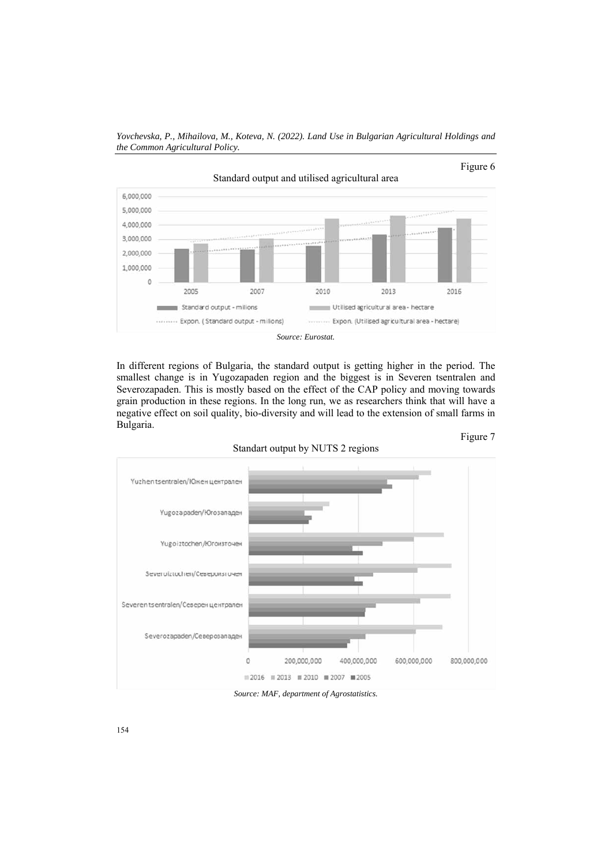

In different regions of Bulgaria, the standard output is getting higher in the period. The smallest change is in Yugozapaden region and the biggest is in Severen tsentralen and Severozapaden. This is mostly based on the effect of the CAP policy and moving towards grain production in these regions. In the long run, we as researchers think that will have a negative effect on soil quality, bio-diversity and will lead to the extension of small farms in Bulgaria. Figure 7



Standart output by NUTS 2 regions

154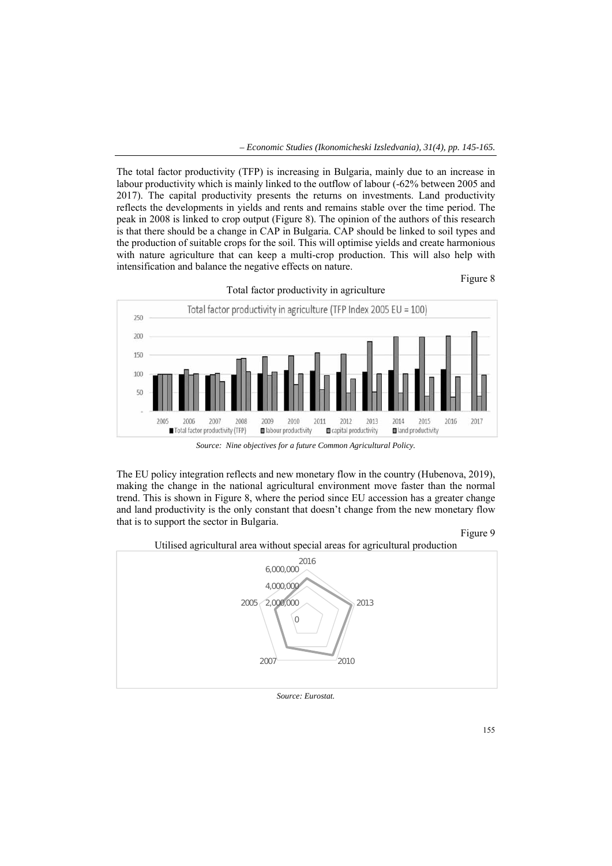The total factor productivity (TFP) is increasing in Bulgaria, mainly due to an increase in labour productivity which is mainly linked to the outflow of labour (-62% between 2005 and 2017). The capital productivity presents the returns on investments. Land productivity reflects the developments in yields and rents and remains stable over the time period. The peak in 2008 is linked to crop output (Figure 8). The opinion of the authors of this research is that there should be a change in CAP in Bulgaria. CAP should be linked to soil types and the production of suitable crops for the soil. This will optimise yields and create harmonious with nature agriculture that can keep a multi-crop production. This will also help with intensification and balance the negative effects on nature.





*Source: Nine objectives for a future Common Agricultural Policy.* 

The EU policy integration reflects and new monetary flow in the country (Hubenova, 2019), making the change in the national agricultural environment move faster than the normal trend. This is shown in Figure 8, where the period since EU accession has a greater change and land productivity is the only constant that doesn't change from the new monetary flow that is to support the sector in Bulgaria.





Utilised agricultural area without special areas for agricultural production

*Source: Eurostat.*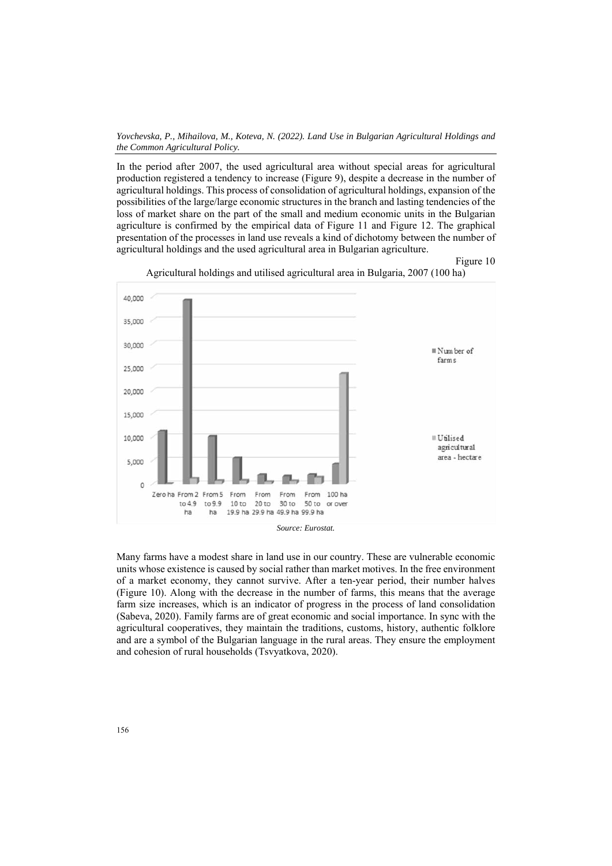*Yovchevska, P., Mihailova, M., Koteva, N. (2022). Land Use in Bulgarian Agricultural Holdings and the Common Agricultural Policy.* 

In the period after 2007, the used agricultural area without special areas for agricultural production registered a tendency to increase (Figure 9), despite a decrease in the number of agricultural holdings. This process of consolidation of agricultural holdings, expansion of the possibilities of the large/large economic structures in the branch and lasting tendencies of the loss of market share on the part of the small and medium economic units in the Bulgarian agriculture is confirmed by the empirical data of Figure 11 and Figure 12. The graphical presentation of the processes in land use reveals a kind of dichotomy between the number of agricultural holdings and the used agricultural area in Bulgarian agriculture.



Agricultural holdings and utilised agricultural area in Bulgaria, 2007 (100 ha)

Figure 10

Many farms have a modest share in land use in our country. These are vulnerable economic units whose existence is caused by social rather than market motives. In the free environment of a market economy, they cannot survive. After a ten-year period, their number halves (Figure 10). Along with the decrease in the number of farms, this means that the average farm size increases, which is an indicator of progress in the process of land consolidation (Sabeva, 2020). Family farms are of great economic and social importance. In sync with the agricultural cooperatives, they maintain the traditions, customs, history, authentic folklore and are a symbol of the Bulgarian language in the rural areas. They ensure the employment and cohesion of rural households (Tsvyatkova, 2020).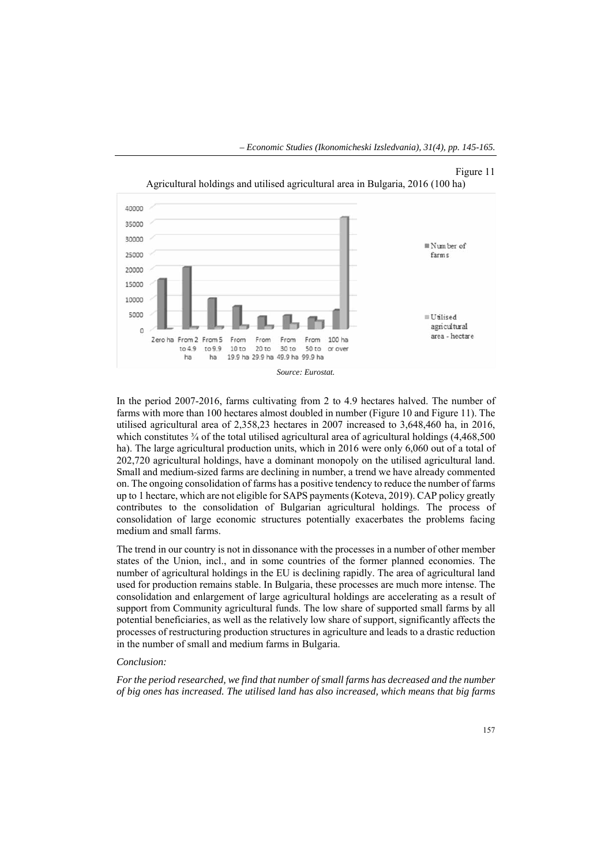

In the period 2007-2016, farms cultivating from 2 to 4.9 hectares halved. The number of farms with more than 100 hectares almost doubled in number (Figure 10 and Figure 11). The utilised agricultural area of 2,358,23 hectares in 2007 increased to 3,648,460 ha, in 2016, which constitutes  $\frac{3}{4}$  of the total utilised agricultural area of agricultural holdings (4,468,500) ha). The large agricultural production units, which in 2016 were only 6,060 out of a total of 202,720 agricultural holdings, have a dominant monopoly on the utilised agricultural land. Small and medium-sized farms are declining in number, a trend we have already commented on. The ongoing consolidation of farms has a positive tendency to reduce the number of farms up to 1 hectare, which are not eligible for SAPS payments (Koteva, 2019). CAP policy greatly contributes to the consolidation of Bulgarian agricultural holdings. The process of consolidation of large economic structures potentially exacerbates the problems facing medium and small farms.

The trend in our country is not in dissonance with the processes in a number of other member states of the Union, incl., and in some countries of the former planned economies. The number of agricultural holdings in the EU is declining rapidly. The area of agricultural land used for production remains stable. In Bulgaria, these processes are much more intense. The consolidation and enlargement of large agricultural holdings are accelerating as a result of support from Community agricultural funds. The low share of supported small farms by all potential beneficiaries, as well as the relatively low share of support, significantly affects the processes of restructuring production structures in agriculture and leads to a drastic reduction in the number of small and medium farms in Bulgaria.

#### *Conclusion:*

*For the period researched, we find that number of small farms has decreased and the number of big ones has increased. The utilised land has also increased, which means that big farms*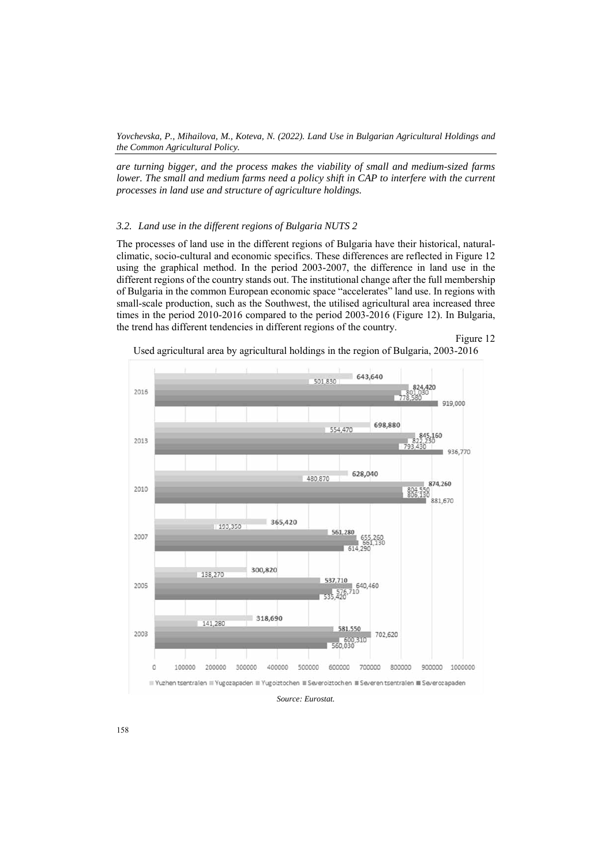*are turning bigger, and the process makes the viability of small and medium-sized farms lower. The small and medium farms need a policy shift in CAP to interfere with the current processes in land use and structure of agriculture holdings.* 

# *3.2. Land use in the different regions of Bulgaria NUTS 2*

The processes of land use in the different regions of Bulgaria have their historical, naturalclimatic, socio-cultural and economic specifics. These differences are reflected in Figure 12 using the graphical method. In the period 2003-2007, the difference in land use in the different regions of the country stands out. The institutional change after the full membership of Bulgaria in the common European economic space "accelerates" land use. In regions with small-scale production, such as the Southwest, the utilised agricultural area increased three times in the period 2010-2016 compared to the period 2003-2016 (Figure 12). In Bulgaria, the trend has different tendencies in different regions of the country.

Figure 12



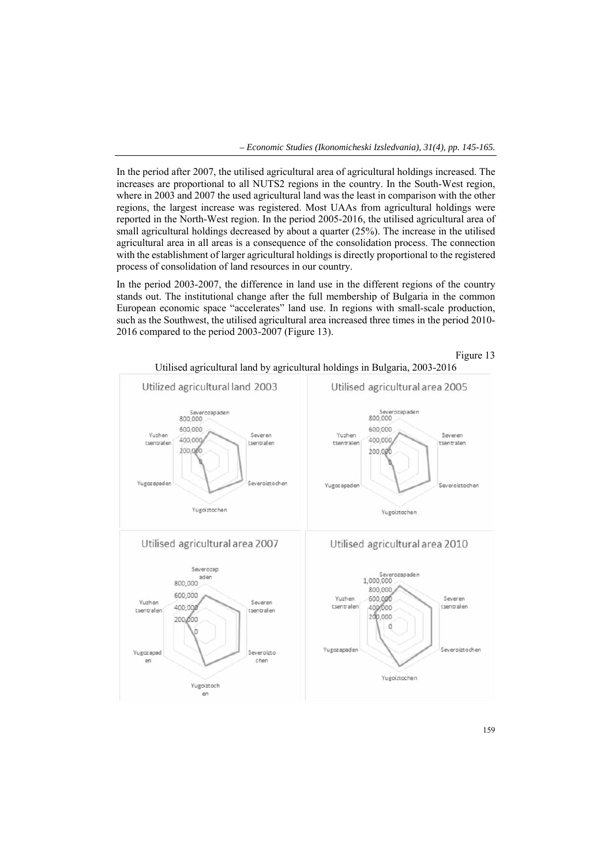In the period after 2007, the utilised agricultural area of agricultural holdings increased. The increases are proportional to all NUTS2 regions in the country. In the South-West region, where in 2003 and 2007 the used agricultural land was the least in comparison with the other regions, the largest increase was registered. Most UAAs from agricultural holdings were reported in the North-West region. In the period 2005-2016, the utilised agricultural area of small agricultural holdings decreased by about a quarter (25%). The increase in the utilised agricultural area in all areas is a consequence of the consolidation process. The connection with the establishment of larger agricultural holdings is directly proportional to the registered process of consolidation of land resources in our country.

In the period 2003-2007, the difference in land use in the different regions of the country stands out. The institutional change after the full membership of Bulgaria in the common European economic space "accelerates" land use. In regions with small-scale production, such as the Southwest, the utilised agricultural area increased three times in the period 2010- 2016 compared to the period 2003-2007 (Figure 13).



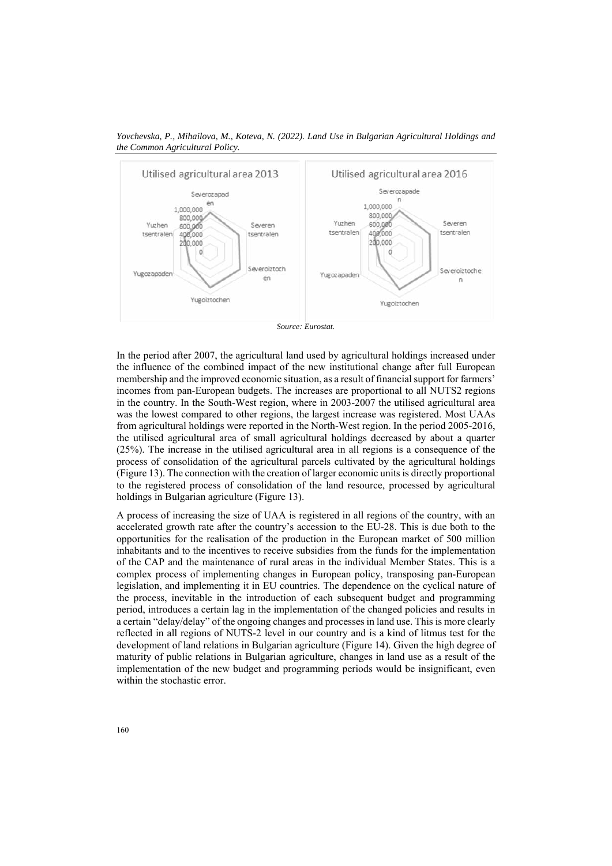

*Yovchevska, P., Mihailova, M., Koteva, N. (2022). Land Use in Bulgarian Agricultural Holdings and the Common Agricultural Policy.* 

 *Source: Eurostat.* 

In the period after 2007, the agricultural land used by agricultural holdings increased under the influence of the combined impact of the new institutional change after full European membership and the improved economic situation, as a result of financial support for farmers' incomes from pan-European budgets. The increases are proportional to all NUTS2 regions in the country. In the South-West region, where in 2003-2007 the utilised agricultural area was the lowest compared to other regions, the largest increase was registered. Most UAAs from agricultural holdings were reported in the North-West region. In the period 2005-2016, the utilised agricultural area of small agricultural holdings decreased by about a quarter (25%). The increase in the utilised agricultural area in all regions is a consequence of the process of consolidation of the agricultural parcels cultivated by the agricultural holdings (Figure 13). The connection with the creation of larger economic units is directly proportional to the registered process of consolidation of the land resource, processed by agricultural holdings in Bulgarian agriculture (Figure 13).

A process of increasing the size of UAA is registered in all regions of the country, with an accelerated growth rate after the country's accession to the EU-28. This is due both to the opportunities for the realisation of the production in the European market of 500 million inhabitants and to the incentives to receive subsidies from the funds for the implementation of the CAP and the maintenance of rural areas in the individual Member States. This is a complex process of implementing changes in European policy, transposing pan-European legislation, and implementing it in EU countries. The dependence on the cyclical nature of the process, inevitable in the introduction of each subsequent budget and programming period, introduces a certain lag in the implementation of the changed policies and results in a certain "delay/delay" of the ongoing changes and processes in land use. This is more clearly reflected in all regions of NUTS-2 level in our country and is a kind of litmus test for the development of land relations in Bulgarian agriculture (Figure 14). Given the high degree of maturity of public relations in Bulgarian agriculture, changes in land use as a result of the implementation of the new budget and programming periods would be insignificant, even within the stochastic error.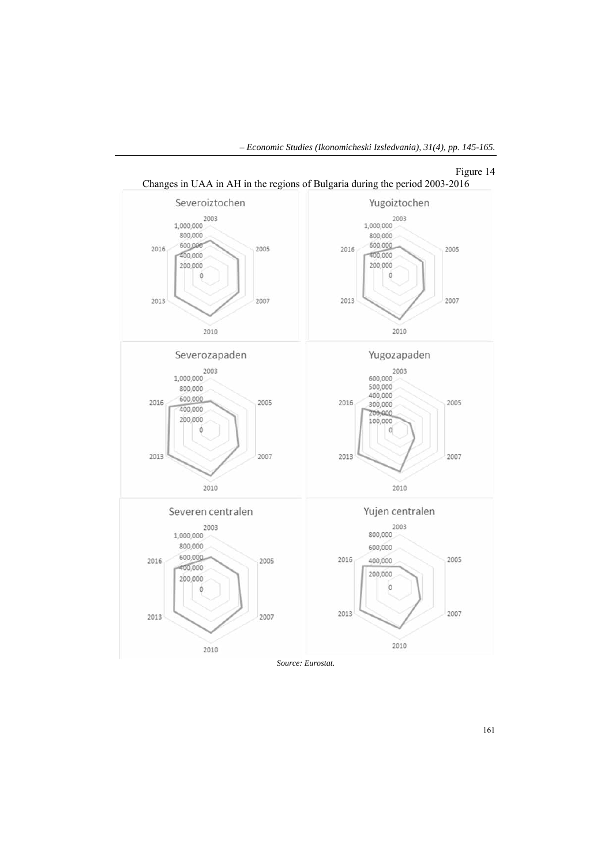

 *– Economic Studies (Ikonomicheski Izsledvania), 31(4), pp. 145-165.* 

*Source: Eurostat.*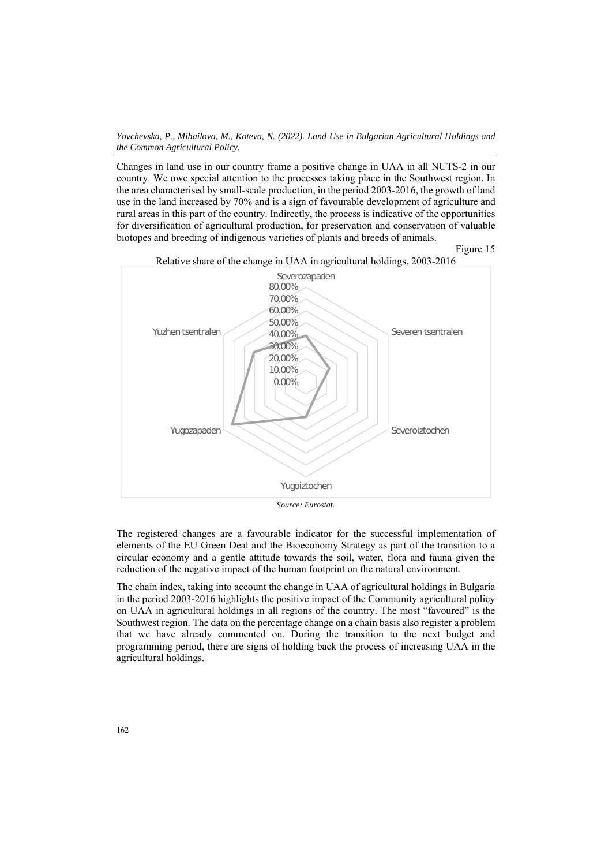Changes in land use in our country frame a positive change in UAA in all NUTS-2 in our country. We owe special attention to the processes taking place in the Southwest region. In the area characterised by small-scale production, in the period 2003-2016, the growth of land use in the land increased by 70% and is a sign of favourable development of agriculture and rural areas in this part of the country. Indirectly, the process is indicative of the opportunities for diversification of agricultural production, for preservation and conservation of valuable biotopes and breeding of indigenous varieties of plants and breeds of animals.



*Source: Eurostat.* 

The registered changes are a favourable indicator for the successful implementation of elements of the EU Green Deal and the Bioeconomy Strategy as part of the transition to a circular economy and a gentle attitude towards the soil, water, flora and fauna given the reduction of the negative impact of the human footprint on the natural environment.

The chain index, taking into account the change in UAA of agricultural holdings in Bulgaria in the period 2003-2016 highlights the positive impact of the Community agricultural policy on UAA in agricultural holdings in all regions of the country. The most "favoured" is the Southwest region. The data on the percentage change on a chain basis also register a problem that we have already commented on. During the transition to the next budget and programming period, there are signs of holding back the process of increasing UAA in the agricultural holdings.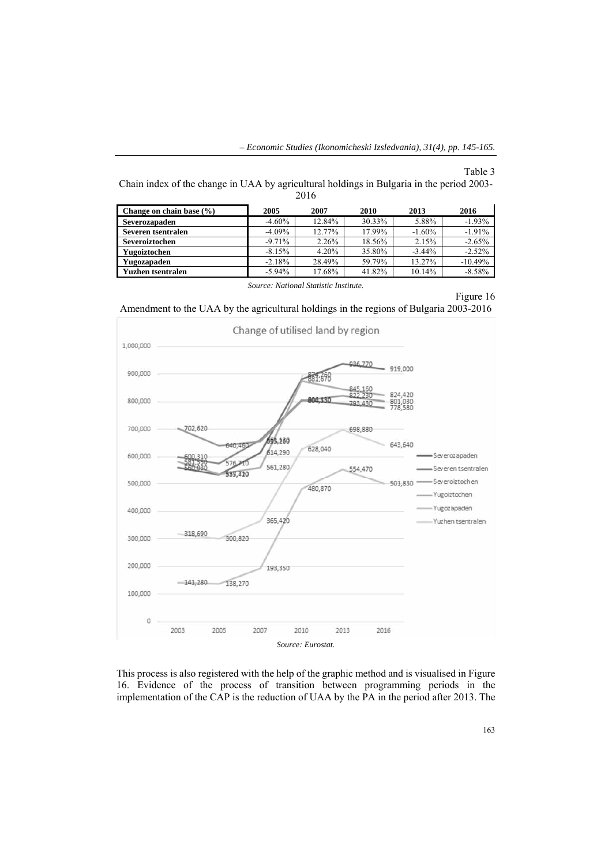Table 3

Chain index of the change in UAA by agricultural holdings in Bulgaria in the period 2003- 2016

| Change on chain base $(\% )$ | 2005      | 2007   | 2010   | 2013      | 2016      |
|------------------------------|-----------|--------|--------|-----------|-----------|
| Severozapaden                | $-4.60\%$ | 12.84% | 30.33% | 5.88%     | $-1.93%$  |
| Severen tsentralen           | $-4.09\%$ | 12.77% | 17.99% | $-1.60\%$ | $-1.91%$  |
| Severoiztochen               | $-9.71%$  | 2.26%  | 18.56% | 2.15%     | $-2.65%$  |
| Yugoiztochen                 | $-8.15%$  | 4.20%  | 35.80% | $-3.44%$  | $-2.52%$  |
| Yugozapaden                  | $-2.18%$  | 28.49% | 59.79% | 13.27%    | $-10.49%$ |
| Yuzhen tsentralen            | $-5.94\%$ | 17.68% | 41.82% | 10.14%    | $-8.58%$  |

*Source: National Statistic Institute.* 

Figure 16

Amendment to the UAA by the agricultural holdings in the regions of Bulgaria 2003-2016



This process is also registered with the help of the graphic method and is visualised in Figure 16. Evidence of the process of transition between programming periods in the implementation of the CAP is the reduction of UAA by the PA in the period after 2013. The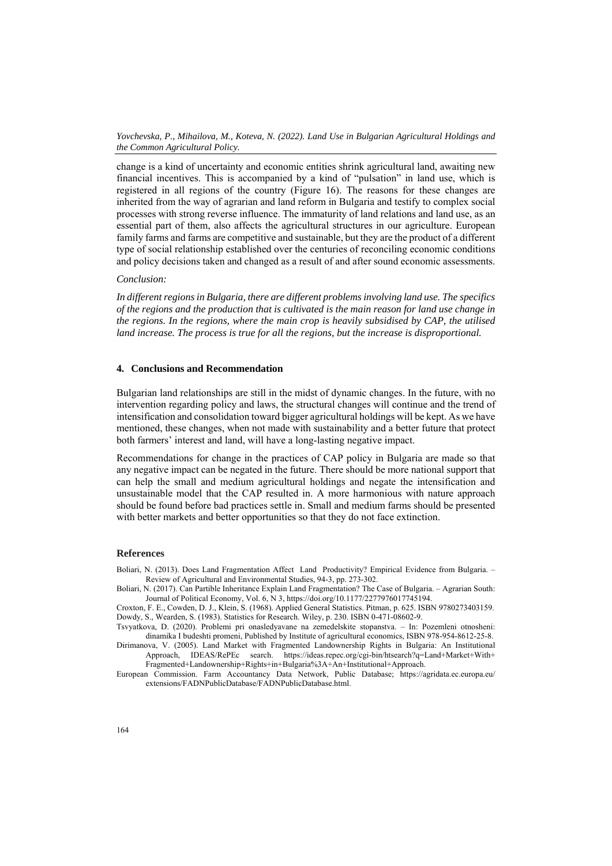change is a kind of uncertainty and economic entities shrink agricultural land, awaiting new financial incentives. This is accompanied by a kind of "pulsation" in land use, which is registered in all regions of the country (Figure 16). The reasons for these changes are inherited from the way of agrarian and land reform in Bulgaria and testify to complex social processes with strong reverse influence. The immaturity of land relations and land use, as an essential part of them, also affects the agricultural structures in our agriculture. European family farms and farms are competitive and sustainable, but they are the product of a different type of social relationship established over the centuries of reconciling economic conditions and policy decisions taken and changed as a result of and after sound economic assessments.

### *Conclusion:*

*In different regions in Bulgaria, there are different problems involving land use. The specifics of the regions and the production that is cultivated is the main reason for land use change in the regions. In the regions, where the main crop is heavily subsidised by CAP, the utilised land increase. The process is true for all the regions, but the increase is disproportional.* 

### **4. Conclusions and Recommendation**

Bulgarian land relationships are still in the midst of dynamic changes. In the future, with no intervention regarding policy and laws, the structural changes will continue and the trend of intensification and consolidation toward bigger agricultural holdings will be kept. As we have mentioned, these changes, when not made with sustainability and a better future that protect both farmers' interest and land, will have a long-lasting negative impact.

Recommendations for change in the practices of CAP policy in Bulgaria are made so that any negative impact can be negated in the future. There should be more national support that can help the small and medium agricultural holdings and negate the intensification and unsustainable model that the CAP resulted in. A more harmonious with nature approach should be found before bad practices settle in. Small and medium farms should be presented with better markets and better opportunities so that they do not face extinction.

#### **References**

Boliari, N. (2013). Does Land Fragmentation Affect Land Productivity? Empirical Evidence from Bulgaria. – Review of Agricultural and Environmental Studies, 94-3, pp. 273-302.

Boliari, N. (2017). Can Partible Inheritance Explain Land Fragmentation? The Case of Bulgaria. – Agrarian South: Journal of Political Economy, Vol. 6, N 3, https://doi.org/10.1177/2277976017745194.

Croxton, F. E., Cowden, D. J., Klein, S. (1968). Applied General Statistics. Pitman, p. 625. ISBN 9780273403159. Dowdy, S., Wearden, S. (1983). Statistics for Research. Wiley, p. 230. ISBN 0-471-08602-9.

Tsvyatkova, D. (2020). Problemi pri onasledyavane na zemedelskite stopanstva. – In: Pozemleni otnosheni: dinamika I budeshti promeni, Published by Institute of agricultural economics, ISBN 978-954-8612-25-8.

Dirimanova, V. (2005). Land Market with Fragmented Landownership Rights in Bulgaria: An Institutional Approach, IDEAS/RePEc search. https://ideas.repec.org/cgi-bin/htsearch?q=Land+Market+With+ Fragmented+Landownership+Rights+in+Bulgaria%3A+An+Institutional+Approach.

European Commission. Farm Accountancy Data Network, Public Database; https://agridata.ec.europa.eu/ extensions/FADNPublicDatabase/FADNPublicDatabase.html.